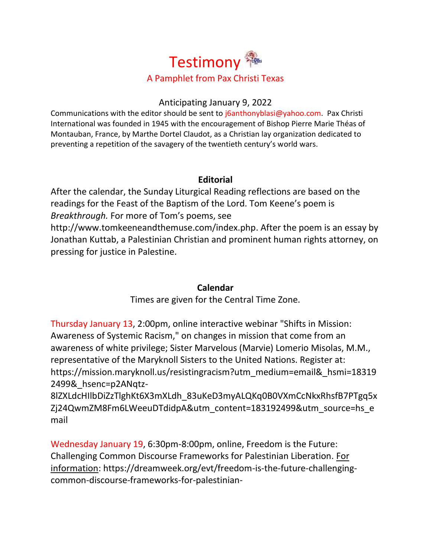

#### Anticipating January 9, 2022

Communications with the editor should be sent to [j6anthonyblasi@yahoo.com.](mailto:j6anthonyblasi@yahoo.com) Pax Christi International was founded in 1945 with the encouragement of Bishop Pierre Marie Théas of Montauban, France, by Marthe Dortel Claudot, as a Christian lay organization dedicated to preventing a repetition of the savagery of the twentieth century's world wars.

# **Editorial**

After the calendar, the Sunday Liturgical Reading reflections are based on the readings for the Feast of the Baptism of the Lord. Tom Keene's poem is *Breakthrough.* For more of Tom's poems, see [http://www.tomkeeneandthemuse.com/index.php.](http://www.tomkeeneandthemuse.com/index.php) After the poem is an essay by Jonathan Kuttab, a Palestinian Christian and prominent human rights attorney, on pressing for justice in Palestine.

# **Calendar**

Times are given for the Central Time Zone.

Thursday January 13, 2:00pm, online interactive webinar "Shifts in Mission: Awareness of Systemic Racism," on changes in mission that come from an awareness of white privilege; Sister Marvelous (Marvie) Lomerio Misolas, M.M., representative of the Maryknoll Sisters to the United Nations. Register at: [https://mission.maryknoll.us/resistingracism?utm\\_medium=email&\\_hsmi=18319](https://mission.maryknoll.us/resistingracism?utm_medium=email&_hsmi=183192499&_hsenc=p2ANqtz-8lZXLdcHIlbDiZzTlghKt6X3mXLdh_83uKeD3myALQKq0B0VXmCcNkxRhsfB7PTgq5xZj24QwmZM8Fm6LWeeuDTdidpA&utm_content=183192499&utm_source=hs_email) [2499&\\_hsenc=p2ANqtz-](https://mission.maryknoll.us/resistingracism?utm_medium=email&_hsmi=183192499&_hsenc=p2ANqtz-8lZXLdcHIlbDiZzTlghKt6X3mXLdh_83uKeD3myALQKq0B0VXmCcNkxRhsfB7PTgq5xZj24QwmZM8Fm6LWeeuDTdidpA&utm_content=183192499&utm_source=hs_email)

[8lZXLdcHIlbDiZzTlghKt6X3mXLdh\\_83uKeD3myALQKq0B0VXmCcNkxRhsfB7PTgq5x](https://mission.maryknoll.us/resistingracism?utm_medium=email&_hsmi=183192499&_hsenc=p2ANqtz-8lZXLdcHIlbDiZzTlghKt6X3mXLdh_83uKeD3myALQKq0B0VXmCcNkxRhsfB7PTgq5xZj24QwmZM8Fm6LWeeuDTdidpA&utm_content=183192499&utm_source=hs_email) [Zj24QwmZM8Fm6LWeeuDTdidpA&utm\\_content=183192499&utm\\_source=hs\\_e](https://mission.maryknoll.us/resistingracism?utm_medium=email&_hsmi=183192499&_hsenc=p2ANqtz-8lZXLdcHIlbDiZzTlghKt6X3mXLdh_83uKeD3myALQKq0B0VXmCcNkxRhsfB7PTgq5xZj24QwmZM8Fm6LWeeuDTdidpA&utm_content=183192499&utm_source=hs_email) [mail](https://mission.maryknoll.us/resistingracism?utm_medium=email&_hsmi=183192499&_hsenc=p2ANqtz-8lZXLdcHIlbDiZzTlghKt6X3mXLdh_83uKeD3myALQKq0B0VXmCcNkxRhsfB7PTgq5xZj24QwmZM8Fm6LWeeuDTdidpA&utm_content=183192499&utm_source=hs_email)

Wednesday January 19, 6:30pm-8:00pm, online, Freedom is the Future: Challenging Common Discourse Frameworks for Palestinian Liberation. For information: [https://dreamweek.org/evt/freedom-is-the-future-challenging](https://dreamweek.org/evt/freedom-is-the-future-challenging-common-discourse-frameworks-for-palestinian-liberation/?fbclid=IwAR0jfWgNWiU1_WE6Ak11ROMLW-btFCX_zgqUZgrV8cTx0Qh1oHc4ZT5_W0c)[common-discourse-frameworks-for-palestinian-](https://dreamweek.org/evt/freedom-is-the-future-challenging-common-discourse-frameworks-for-palestinian-liberation/?fbclid=IwAR0jfWgNWiU1_WE6Ak11ROMLW-btFCX_zgqUZgrV8cTx0Qh1oHc4ZT5_W0c)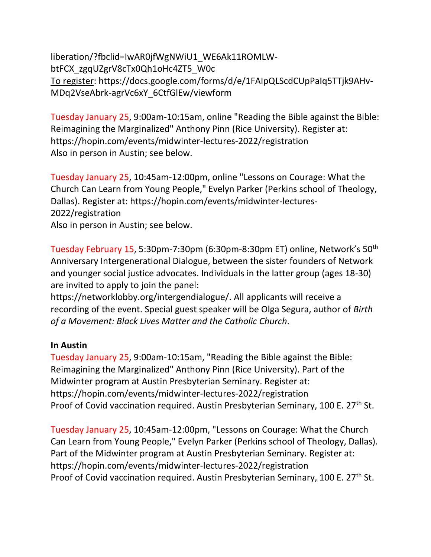[liberation/?fbclid=IwAR0jfWgNWiU1\\_WE6Ak11ROMLW](https://dreamweek.org/evt/freedom-is-the-future-challenging-common-discourse-frameworks-for-palestinian-liberation/?fbclid=IwAR0jfWgNWiU1_WE6Ak11ROMLW-btFCX_zgqUZgrV8cTx0Qh1oHc4ZT5_W0c)[btFCX\\_zgqUZgrV8cTx0Qh1oHc4ZT5\\_W0c](https://dreamweek.org/evt/freedom-is-the-future-challenging-common-discourse-frameworks-for-palestinian-liberation/?fbclid=IwAR0jfWgNWiU1_WE6Ak11ROMLW-btFCX_zgqUZgrV8cTx0Qh1oHc4ZT5_W0c) To register: [https://docs.google.com/forms/d/e/1FAIpQLScdCUpPaIq5TTjk9AHv-](https://docs.google.com/forms/d/e/1FAIpQLScdCUpPaIq5TTjk9AHv-MDq2VseAbrk-agrVc6xY_6CtfGlEw/viewform)[MDq2VseAbrk-agrVc6xY\\_6CtfGlEw/viewform](https://docs.google.com/forms/d/e/1FAIpQLScdCUpPaIq5TTjk9AHv-MDq2VseAbrk-agrVc6xY_6CtfGlEw/viewform)

Tuesday January 25, 9:00am-10:15am, online "Reading the Bible against the Bible: Reimagining the Marginalized" Anthony Pinn (Rice University). Register at: <https://hopin.com/events/midwinter-lectures-2022/registration> Also in person in Austin; see below.

Tuesday January 25, 10:45am-12:00pm, online "Lessons on Courage: What the Church Can Learn from Young People," Evelyn Parker (Perkins school of Theology, Dallas). Register at: [https://hopin.com/events/midwinter-lectures-](https://hopin.com/events/midwinter-lectures-2022/registration)[2022/registration](https://hopin.com/events/midwinter-lectures-2022/registration) Also in person in Austin; see below.

Tuesday February 15, 5:30pm-7:30pm (6:30pm-8:30pm ET) online, Network's 50th Anniversary Intergenerational Dialogue, between the sister founders of Network and younger social justice advocates. Individuals in the latter group (ages 18-30) are invited to apply to join the panel:

[https://networklobby.org/intergendialogue/.](https://networklobby.org/intergendialogue/) All applicants will receive a recording of the event. Special guest speaker will be Olga Segura, author of *Birth of a Movement: Black Lives Matter and the Catholic Church*.

#### **In Austin**

Tuesday January 25, 9:00am-10:15am, "Reading the Bible against the Bible: Reimagining the Marginalized" Anthony Pinn (Rice University). Part of the Midwinter program at Austin Presbyterian Seminary. Register at: <https://hopin.com/events/midwinter-lectures-2022/registration> Proof of Covid vaccination required. Austin Presbyterian Seminary, 100 E. 27<sup>th</sup> St.

Tuesday January 25, 10:45am-12:00pm, "Lessons on Courage: What the Church Can Learn from Young People," Evelyn Parker (Perkins school of Theology, Dallas). Part of the Midwinter program at Austin Presbyterian Seminary. Register at: <https://hopin.com/events/midwinter-lectures-2022/registration> Proof of Covid vaccination required. Austin Presbyterian Seminary, 100 E. 27<sup>th</sup> St.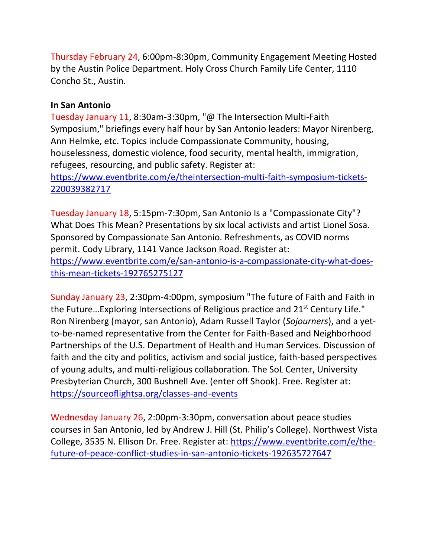Thursday February 24, 6:00pm-8:30pm, Community Engagement Meeting Hosted by the Austin Police Department. Holy Cross Church Family Life Center, 1110 Concho St., Austin.

# **In San Antonio**

Tuesday January 11, 8:30am-3:30pm, "@ The Intersection Multi-Faith Symposium," briefings every half hour by San Antonio leaders: Mayor Nirenberg, Ann Helmke, etc. Topics include Compassionate Community, housing, houselessness, domestic violence, food security, mental health, immigration, refugees, resourcing, and public safety. Register at:

[https://www.eventbrite.com/e/theintersection-multi-faith-symposium-tickets-](https://www.eventbrite.com/e/theintersection-multi-faith-symposium-tickets-220039382717)[220039382717](https://www.eventbrite.com/e/theintersection-multi-faith-symposium-tickets-220039382717)

Tuesday January 18, 5:15pm-7:30pm, San Antonio Is a "Compassionate City"? What Does This Mean? Presentations by six local activists and artist Lionel Sosa. Sponsored by Compassionate San Antonio. Refreshments, as COVID norms permit. Cody Library, 1141 Vance Jackson Road. Register at: [https://www.eventbrite.com/e/san-antonio-is-a-compassionate-city-what-does](https://www.eventbrite.com/e/san-antonio-is-a-compassionate-city-what-does-this-mean-tickets-192765275127)[this-mean-tickets-192765275127](https://www.eventbrite.com/e/san-antonio-is-a-compassionate-city-what-does-this-mean-tickets-192765275127)

Sunday January 23, 2:30pm-4:00pm, symposium "The future of Faith and Faith in the Future...Exploring Intersections of Religious practice and  $21<sup>st</sup>$  Century Life." Ron Nirenberg (mayor, san Antonio), Adam Russell Taylor (*Sojourners*), and a yetto-be-named representative from the Center for Faith-Based and Neighborhood Partnerships of the U.S. Department of Health and Human Services. Discussion of faith and the city and politics, activism and social justice, faith-based perspectives of young adults, and multi-religious collaboration. The SoL Center, University Presbyterian Church, 300 Bushnell Ave. (enter off Shook). Free. Register at: <https://sourceoflightsa.org/classes-and-events>

Wednesday January 26, 2:00pm-3:30pm, conversation about peace studies courses in San Antonio, led by Andrew J. Hill (St. Philip's College). Northwest Vista College, 3535 N. Ellison Dr. Free. Register at: [https://www.eventbrite.com/e/the](https://www.eventbrite.com/e/the-future-of-peace-conflict-studies-in-san-antonio-tickets-192635727647)[future-of-peace-conflict-studies-in-san-antonio-tickets-192635727647](https://www.eventbrite.com/e/the-future-of-peace-conflict-studies-in-san-antonio-tickets-192635727647)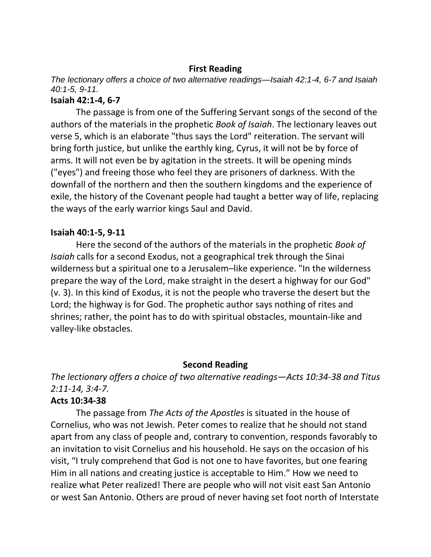#### **First Reading**

*The lectionary offers a choice of two alternative readings—Isaiah 42:1-4, 6-7 and Isaiah 40:1-5, 9-11.*

# **Isaiah 42:1-4, 6-7**

The passage is from one of the Suffering Servant songs of the second of the authors of the materials in the prophetic *Book of Isaiah*. The lectionary leaves out verse 5, which is an elaborate "thus says the Lord" reiteration. The servant will bring forth justice, but unlike the earthly king, Cyrus, it will not be by force of arms. It will not even be by agitation in the streets. It will be opening minds ("eyes") and freeing those who feel they are prisoners of darkness. With the downfall of the northern and then the southern kingdoms and the experience of exile, the history of the Covenant people had taught a better way of life, replacing the ways of the early warrior kings Saul and David.

#### **Isaiah 40:1-5, 9-11**

Here the second of the authors of the materials in the prophetic *Book of Isaiah* calls for a second Exodus, not a geographical trek through the Sinai wilderness but a spiritual one to a Jerusalem–like experience. "In the wilderness prepare the way of the Lord, make straight in the desert a highway for our God" (v. 3). In this kind of Exodus, it is not the people who traverse the desert but the Lord; the highway is for God. The prophetic author says nothing of rites and shrines; rather, the point has to do with spiritual obstacles, mountain-like and valley-like obstacles.

# **Second Reading**

*The lectionary offers a choice of two alternative readings—Acts 10:34-38 and Titus 2:11-14, 3:4-7.* 

# **Acts 10:34-38**

The passage from *The Acts of the Apostles* is situated in the house of Cornelius, who was not Jewish. Peter comes to realize that he should not stand apart from any class of people and, contrary to convention, responds favorably to an invitation to visit Cornelius and his household. He says on the occasion of his visit, "I truly comprehend that God is not one to have favorites, but one fearing Him in all nations and creating justice is acceptable to Him." How we need to realize what Peter realized! There are people who will not visit east San Antonio or west San Antonio. Others are proud of never having set foot north of Interstate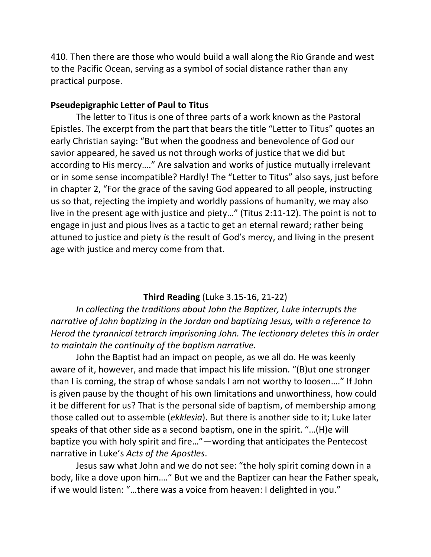410. Then there are those who would build a wall along the Rio Grande and west to the Pacific Ocean, serving as a symbol of social distance rather than any practical purpose.

#### **Pseudepigraphic Letter of Paul to Titus**

The letter to Titus is one of three parts of a work known as the Pastoral Epistles. The excerpt from the part that bears the title "Letter to Titus" quotes an early Christian saying: "But when the goodness and benevolence of God our savior appeared, he saved us not through works of justice that we did but according to His mercy…." Are salvation and works of justice mutually irrelevant or in some sense incompatible? Hardly! The "Letter to Titus" also says, just before in chapter 2, "For the grace of the saving God appeared to all people, instructing us so that, rejecting the impiety and worldly passions of humanity, we may also live in the present age with justice and piety…" (Titus 2:11-12). The point is not to engage in just and pious lives as a tactic to get an eternal reward; rather being attuned to justice and piety *is* the result of God's mercy, and living in the present age with justice and mercy come from that.

#### **Third Reading** (Luke 3.15-16, 21-22)

*In collecting the traditions about John the Baptizer, Luke interrupts the narrative of John baptizing in the Jordan and baptizing Jesus, with a reference to Herod the tyrannical tetrarch imprisoning John. The lectionary deletes this in order to maintain the continuity of the baptism narrative.* 

John the Baptist had an impact on people, as we all do. He was keenly aware of it, however, and made that impact his life mission. "(B)ut one stronger than I is coming, the strap of whose sandals I am not worthy to loosen…." If John is given pause by the thought of his own limitations and unworthiness, how could it be different for us? That is the personal side of baptism, of membership among those called out to assemble (*ekklesia*). But there is another side to it; Luke later speaks of that other side as a second baptism, one in the spirit. "…(H)e will baptize you with holy spirit and fire…"—wording that anticipates the Pentecost narrative in Luke's *Acts of the Apostles*.

Jesus saw what John and we do not see: "the holy spirit coming down in a body, like a dove upon him…." But we and the Baptizer can hear the Father speak, if we would listen: "…there was a voice from heaven: I delighted in you."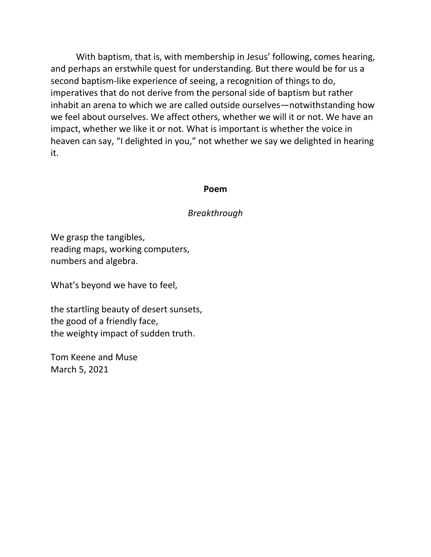With baptism, that is, with membership in Jesus' following, comes hearing, and perhaps an erstwhile quest for understanding. But there would be for us a second baptism-like experience of seeing, a recognition of things to do, imperatives that do not derive from the personal side of baptism but rather inhabit an arena to which we are called outside ourselves—notwithstanding how we feel about ourselves. We affect others, whether we will it or not. We have an impact, whether we like it or not. What is important is whether the voice in heaven can say, "I delighted in you," not whether we say we delighted in hearing it.

#### **Poem**

#### *Breakthrough*

We grasp the tangibles, reading maps, working computers, numbers and algebra.

What's beyond we have to feel,

the startling beauty of desert sunsets, the good of a friendly face, the weighty impact of sudden truth.

Tom Keene and Muse March 5, 2021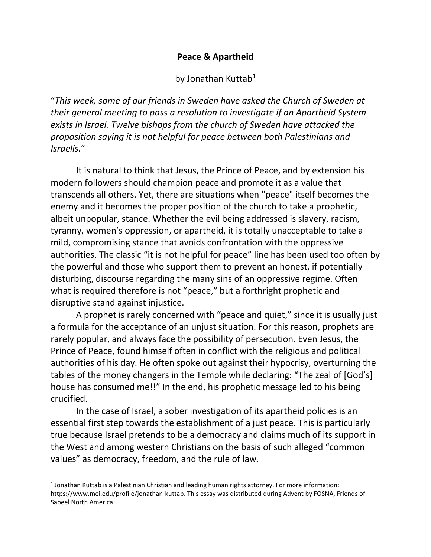# **Peace & Apartheid**

# by Jonathan Kuttab<sup>1</sup>

"*This week, some of our friends in Sweden have asked the Church of Sweden at their general meeting to pass a resolution to investigate if an Apartheid System exists in Israel. Twelve bishops from the church of Sweden have attacked the proposition saying it is not helpful for peace between both Palestinians and Israelis.*"

It is natural to think that Jesus, the Prince of Peace, and by extension his modern followers should champion peace and promote it as a value that transcends all others. Yet, there are situations when "peace" itself becomes the enemy and it becomes the proper position of the church to take a prophetic, albeit unpopular, stance. Whether the evil being addressed is slavery, racism, tyranny, women's oppression, or apartheid, it is totally unacceptable to take a mild, compromising stance that avoids confrontation with the oppressive authorities. The classic "it is not helpful for peace" line has been used too often by the powerful and those who support them to prevent an honest, if potentially disturbing, discourse regarding the many sins of an oppressive regime. Often what is required therefore is not "peace," but a forthright prophetic and disruptive stand against injustice.

A prophet is rarely concerned with "peace and quiet," since it is usually just a formula for the acceptance of an unjust situation. For this reason, prophets are rarely popular, and always face the possibility of persecution. Even Jesus, the Prince of Peace, found himself often in conflict with the religious and political authorities of his day. He often spoke out against their hypocrisy, overturning the tables of the money changers in the Temple while declaring: "The zeal of [God's] house has consumed me!!" In the end, his prophetic message led to his being crucified.

In the case of Israel, a sober investigation of its apartheid policies is an essential first step towards the establishment of a just peace. This is particularly true because Israel pretends to be a democracy and claims much of its support in the West and among western Christians on the basis of such alleged "common values" as democracy, freedom, and the rule of law.

<sup>1</sup> Jonathan Kuttab is a Palestinian Christian and leading human rights attorney. For more information: [https://www.mei.edu/profile/jonathan-kuttab.](https://www.mei.edu/profile/jonathan-kuttab) This essay was distributed during Advent by FOSNA, Friends of Sabeel North America.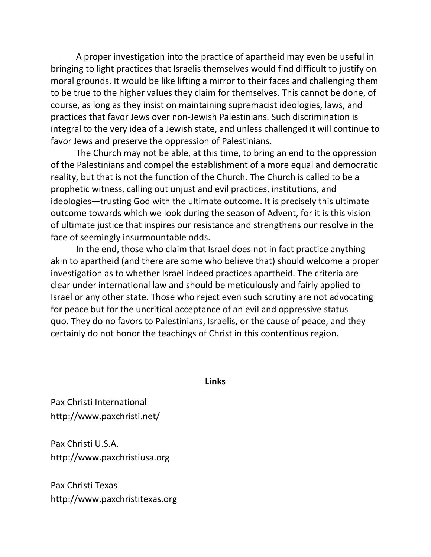A proper investigation into the practice of apartheid may even be useful in bringing to light practices that Israelis themselves would find difficult to justify on moral grounds. It would be like lifting a mirror to their faces and challenging them to be true to the higher values they claim for themselves. This cannot be done, of course, as long as they insist on maintaining supremacist ideologies, laws, and practices that favor Jews over non-Jewish Palestinians. Such discrimination is integral to the very idea of a Jewish state, and unless challenged it will continue to favor Jews and preserve the oppression of Palestinians.

The Church may not be able, at this time, to bring an end to the oppression of the Palestinians and compel the establishment of a more equal and democratic reality, but that is not the function of the Church. The Church is called to be a prophetic witness, calling out unjust and evil practices, institutions, and ideologies—trusting God with the ultimate outcome. It is precisely this ultimate outcome towards which we look during the season of Advent, for it is this vision of ultimate justice that inspires our resistance and strengthens our resolve in the face of seemingly insurmountable odds.

In the end, those who claim that Israel does not in fact practice anything akin to apartheid (and there are some who believe that) should welcome a proper investigation as to whether Israel indeed practices apartheid. The criteria are clear under international law and should be meticulously and fairly applied to Israel or any other state. Those who reject even such scrutiny are not advocating for peace but for the uncritical acceptance of an evil and oppressive status quo. They do no favors to Palestinians, Israelis, or the cause of peace, and they certainly do not honor the teachings of Christ in this contentious region.

**Links**

Pax Christi International <http://www.paxchristi.net/>

Pax Christi U.S.A. [http://www.paxchristiusa.org](http://www.paxchristiusa.org/)

Pax Christi Texas [http://www.paxchristitexas.org](http://www.paxchristitexas.org/)